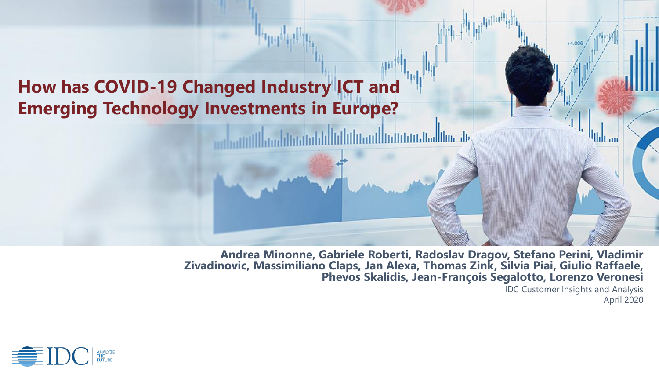# **How has COVID-19 Changed Industry ICT and Emerging Technology Investments in Europe?**

**Andrea Minonne, Gabriele Roberti, Radoslav Dragov, Stefano Perini, Vladimir Zivadinovic, Massimiliano Claps, Jan Alexa, Thomas Zink, Silvia Piai, Giulio Raffaele, Phevos Skalidis, Jean-François Segalotto, Lorenzo Veronesi**

<u>hthanthainnin Jalilin Je</u>

IDC Customer Insights and Analysis April 2020

 $\mathbf{u}_{\text{th}}$ 

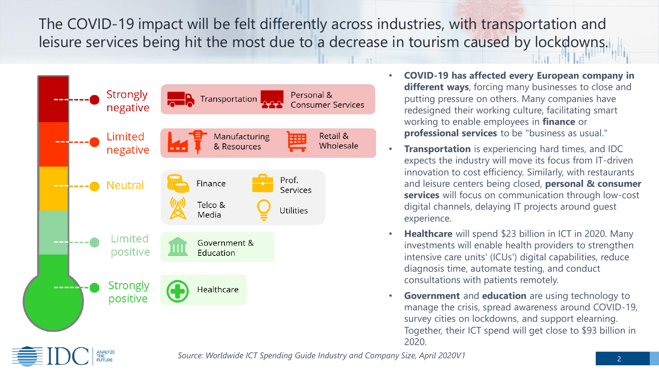The COVID-19 impact will be felt differently across industries, with transportation and leisure services being hit the most due to a decrease in tourism caused by lockdowns.



- **COVID-19 has affected every European company in different ways**, forcing many businesses to close and putting pressure on others. Many companies have redesigned their working culture, facilitating smart working to enable employees in **finance** or **professional services** to be "business as usual."
- **Transportation** is experiencing hard times, and IDC expects the industry will move its focus from IT-driven innovation to cost efficiency. Similarly, with restaurants and leisure centers being closed, **personal & consumer services** will focus on communication through low-cost digital channels, delaying IT projects around guest experience.
- **Healthcare** will spend \$23 billion in ICT in 2020. Many investments will enable health providers to strengthen intensive care units' (ICUs') digital capabilities, reduce diagnosis time, automate testing, and conduct consultations with patients remotely.
- **Government** and **education** are using technology to manage the crisis, spread awareness around COVID-19, survey cities on lockdowns, and support elearning. Together, their ICT spend will get close to \$93 billion in 2020.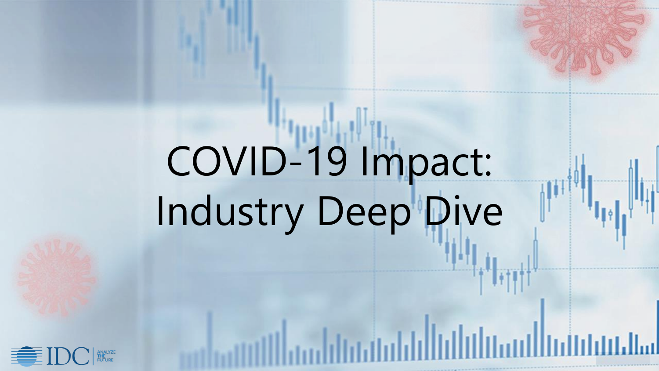# COVID-19 Impact: Industry Deep Dive

أسلاءانانا

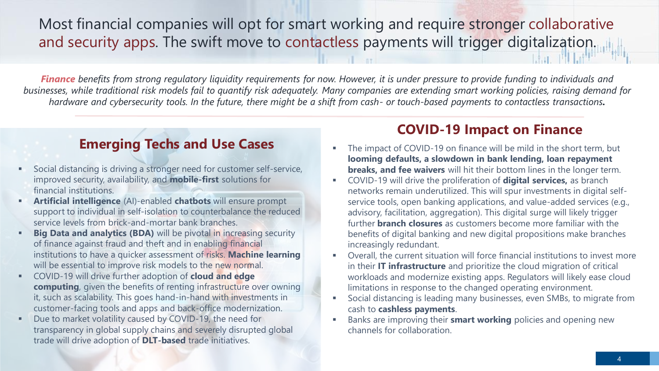### Most financial companies will opt for smart working and require stronger collaborative and security apps. The swift move to contactless payments will trigger digitalization.

*Finance benefits from strong regulatory liquidity requirements for now. However, it is under pressure to provide funding to individuals and businesses, while traditional risk models fail to quantify risk adequately. Many companies are extending smart working policies, raising demand for hardware and cybersecurity tools. In the future, there might be a shift from cash- or touch-based payments to contactless transactions.*

#### **Emerging Techs and Use Cases**

- Social distancing is driving a stronger need for customer self-service, improved security, availability, and **mobile-first** solutions for financial institutions.
- **Artificial intelligence** (AI)-enabled **chatbots** will ensure prompt support to individual in self-isolation to counterbalance the reduced service levels from brick-and-mortar bank branches.
- **Big Data and analytics (BDA)** will be pivotal in increasing security of finance against fraud and theft and in enabling financial institutions to have a quicker assessment of risks. **Machine learning**  will be essential to improve risk models to the new normal.
- COVID-19 will drive further adoption of **cloud and edge computing**, given the benefits of renting infrastructure over owning it, such as scalability. This goes hand-in-hand with investments in customer-facing tools and apps and back-office modernization.
- Due to market volatility caused by COVID-19, the need for transparency in global supply chains and severely disrupted global trade will drive adoption of **DLT-based** trade initiatives.

#### **COVID-19 Impact on Finance**

- The impact of COVID-19 on finance will be mild in the short term, but **looming defaults, a slowdown in bank lending, loan repayment breaks, and fee waivers** will hit their bottom lines in the longer term.
- COVID-19 will drive the proliferation of **digital services,** as branch networks remain underutilized. This will spur investments in digital selfservice tools, open banking applications, and value-added services (e.g., advisory, facilitation, aggregation). This digital surge will likely trigger further **branch closures** as customers become more familiar with the benefits of digital banking and new digital propositions make branches increasingly redundant.
- Overall, the current situation will force financial institutions to invest more in their **IT infrastructure** and prioritize the cloud migration of critical workloads and modernize existing apps. Regulators will likely ease cloud limitations in response to the changed operating environment.
- Social distancing is leading many businesses, even SMBs, to migrate from cash to **cashless payments**.
- Banks are improving their **smart working** policies and opening new channels for collaboration.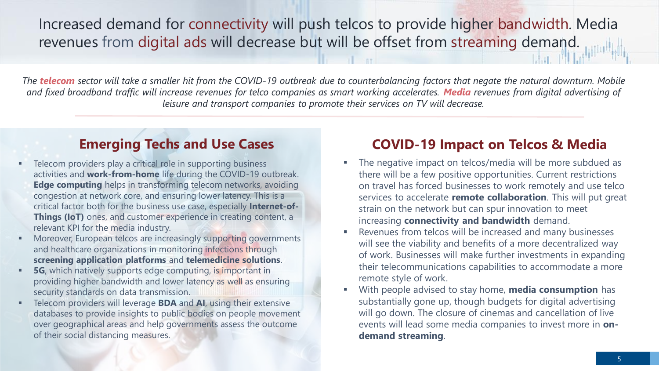Increased demand for connectivity will push telcos to provide higher bandwidth. Media revenues from digital ads will decrease but will be offset from streaming demand.

*The telecom sector will take a smaller hit from the COVID-19 outbreak due to counterbalancing factors that negate the natural downturn. Mobile and fixed broadband traffic will increase revenues for telco companies as smart working accelerates. Media revenues from digital advertising of leisure and transport companies to promote their services on TV will decrease.*

#### **Emerging Techs and Use Cases**

- Telecom providers play a critical role in supporting business activities and **work-from-home** life during the COVID-19 outbreak. **Edge computing** helps in transforming telecom networks, avoiding congestion at network core, and ensuring lower latency. This is a critical factor both for the business use case, especially **Internet-of-Things (IoT)** ones, and customer experience in creating content, a relevant KPI for the media industry.
- Moreover, European telcos are increasingly supporting governments and healthcare organizations in monitoring infections through **screening application platforms** and **telemedicine solutions**.
- **5G**, which natively supports edge computing, is important in providing higher bandwidth and lower latency as well as ensuring security standards on data transmission.
- Telecom providers will leverage **BDA** and **AI**, using their extensive databases to provide insights to public bodies on people movement over geographical areas and help governments assess the outcome of their social distancing measures.

#### **COVID-19 Impact on Telcos & Media**

- The negative impact on telcos/media will be more subdued as there will be a few positive opportunities. Current restrictions on travel has forced businesses to work remotely and use telco services to accelerate **remote collaboration**. This will put great strain on the network but can spur innovation to meet increasing **connectivity and bandwidth** demand.
- Revenues from telcos will be increased and many businesses will see the viability and benefits of a more decentralized way of work. Businesses will make further investments in expanding their telecommunications capabilities to accommodate a more remote style of work.
- With people advised to stay home, **media consumption** has substantially gone up, though budgets for digital advertising will go down. The closure of cinemas and cancellation of live events will lead some media companies to invest more in **ondemand streaming**.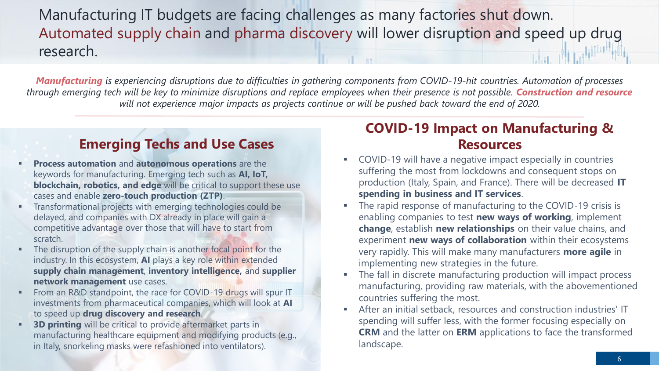Manufacturing IT budgets are facing challenges as many factories shut down. Automated supply chain and pharma discovery will lower disruption and speed up drug research.

*Manufacturing is experiencing disruptions due to difficulties in gathering components from COVID-19-hit countries. Automation of processes through emerging tech will be key to minimize disruptions and replace employees when their presence is not possible. Construction and resource will not experience major impacts as projects continue or will be pushed back toward the end of 2020.*

#### **Emerging Techs and Use Cases**

- **Process automation and autonomous operations** are the keywords for manufacturing. Emerging tech such as **AI, IoT, blockchain, robotics, and edge** will be critical to support these use cases and enable **zero-touch production (ZTP)**.
- Transformational projects with emerging technologies could be delayed, and companies with DX already in place will gain a competitive advantage over those that will have to start from scratch.
- The disruption of the supply chain is another focal point for the industry. In this ecosystem, **AI** plays a key role within extended **supply chain management**, **inventory intelligence,** and **supplier network management** use cases.
- From an R&D standpoint, the race for COVID-19 drugs will spur IT investments from pharmaceutical companies, which will look at **AI** to speed up **drug discovery and research**.
- **3D printing** will be critical to provide aftermarket parts in manufacturing healthcare equipment and modifying products (e.g., in Italy, snorkeling masks were refashioned into ventilators).

#### **COVID-19 Impact on Manufacturing & Resources**

- COVID-19 will have a negative impact especially in countries suffering the most from lockdowns and consequent stops on production (Italy, Spain, and France). There will be decreased **IT spending in business and IT services**.
- The rapid response of manufacturing to the COVID-19 crisis is enabling companies to test **new ways of working**, implement **change**, establish **new relationships** on their value chains, and experiment **new ways of collaboration** within their ecosystems very rapidly. This will make many manufacturers **more agile** in implementing new strategies in the future.
- The fall in discrete manufacturing production will impact process manufacturing, providing raw materials, with the abovementioned countries suffering the most.
- After an initial setback, resources and construction industries' IT spending will suffer less, with the former focusing especially on **CRM** and the latter on **ERM** applications to face the transformed landscape.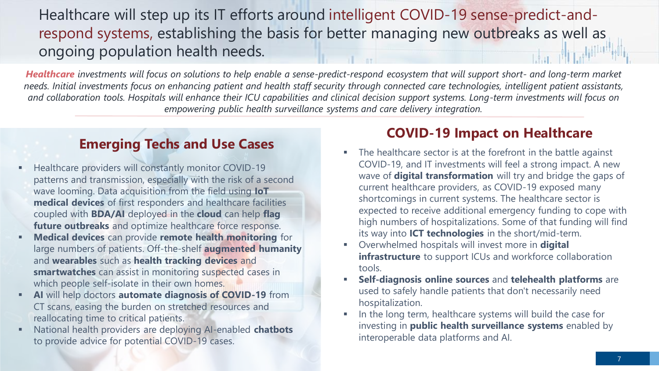## Healthcare will step up its IT efforts around intelligent COVID-19 sense-predict-andrespond systems, establishing the basis for better managing new outbreaks as well as ongoing population health needs.

*Healthcare investments will focus on solutions to help enable a sense-predict-respond ecosystem that will support short- and long-term market needs. Initial investments focus on enhancing patient and health staff security through connected care technologies, intelligent patient assistants, and collaboration tools. Hospitals will enhance their ICU capabilities and clinical decision support systems. Long-term investments will focus on empowering public health surveillance systems and care delivery integration.* 

#### **Emerging Techs and Use Cases**

- Healthcare providers will constantly monitor COVID-19 patterns and transmission, especially with the risk of a second wave looming. Data acquisition from the field using **IoT medical devices** of first responders and healthcare facilities coupled with **BDA/AI** deployed in the **cloud** can help **flag future outbreaks** and optimize healthcare force response.
- **Medical devices** can provide **remote health monitoring** for large numbers of patients. Off-the-shelf **augmented humanity**  and **wearables** such as **health tracking devices** and **smartwatches** can assist in monitoring suspected cases in which people self-isolate in their own homes.
- **AI** will help doctors **automate diagnosis of COVID-19** from CT scans, easing the burden on stretched resources and reallocating time to critical patients.
- National health providers are deploying AI-enabled **chatbots** to provide advice for potential COVID-19 cases.

#### **COVID-19 Impact on Healthcare**

- The healthcare sector is at the forefront in the battle against COVID-19, and IT investments will feel a strong impact. A new wave of **digital transformation** will try and bridge the gaps of current healthcare providers, as COVID-19 exposed many shortcomings in current systems. The healthcare sector is expected to receive additional emergency funding to cope with high numbers of hospitalizations. Some of that funding will find its way into **ICT technologies** in the short/mid-term.
- Overwhelmed hospitals will invest more in **digital infrastructure** to support ICUs and workforce collaboration tools.
- **Self-diagnosis online sources** and **telehealth platforms** are used to safely handle patients that don't necessarily need hospitalization.
- In the long term, healthcare systems will build the case for investing in **public health surveillance systems** enabled by interoperable data platforms and AI.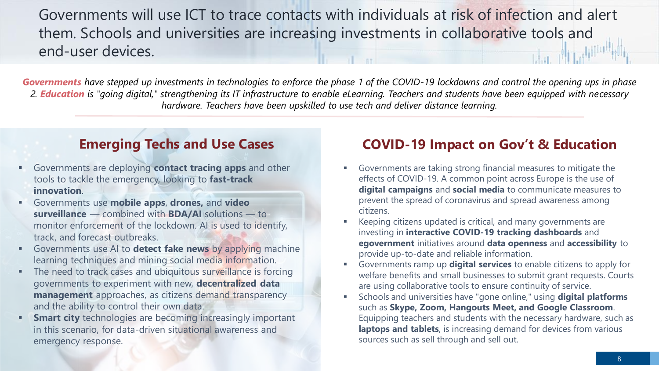Governments will use ICT to trace contacts with individuals at risk of infection and alert them. Schools and universities are increasing investments in collaborative tools and end-user devices.

*Governments have stepped up investments in technologies to enforce the phase 1 of the COVID-19 lockdowns and control the opening ups in phase 2. Education is "going digital," strengthening its IT infrastructure to enable eLearning. Teachers and students have been equipped with necessary hardware. Teachers have been upskilled to use tech and deliver distance learning.*

#### **Emerging Techs and Use Cases**

- Governments are deploying **contact tracing apps** and other tools to tackle the emergency, looking to **fast-track innovation**.
- Governments use **mobile apps**, **drones,** and **video surveillance** — combined with **BDA/AI** solutions — to monitor enforcement of the lockdown. AI is used to identify, track, and forecast outbreaks.
- Governments use AI to **detect fake news** by applying machine learning techniques and mining social media information.
- The need to track cases and ubiquitous surveillance is forcing governments to experiment with new, **decentralized data management** approaches, as citizens demand transparency and the ability to control their own data.
- **Smart city** technologies are becoming increasingly important in this scenario, for data-driven situational awareness and emergency response.

#### **COVID-19 Impact on Gov't & Education**

- Governments are taking strong financial measures to mitigate the effects of COVID-19. A common point across Europe is the use of **digital campaigns** and **social media** to communicate measures to prevent the spread of coronavirus and spread awareness among citizens.
- Keeping citizens updated is critical, and many governments are investing in **interactive COVID-19 tracking dashboards** and **egovernment** initiatives around **data openness** and **accessibility** to provide up-to-date and reliable information.
- Governments ramp up **digital services** to enable citizens to apply for welfare benefits and small businesses to submit grant requests. Courts are using collaborative tools to ensure continuity of service.
- Schools and universities have "gone online," using **digital platforms**  such as **Skype, Zoom, Hangouts Meet, and Google Classroom**. Equipping teachers and students with the necessary hardware, such as **laptops and tablets**, is increasing demand for devices from various sources such as sell through and sell out.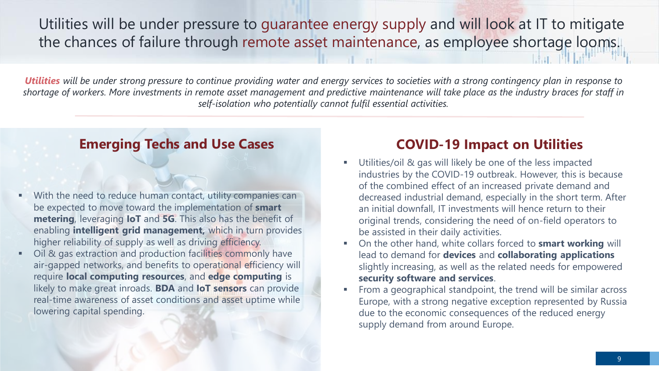Utilities will be under pressure to guarantee energy supply and will look at IT to mitigate the chances of failure through remote asset maintenance, as employee shortage looms.

*Utilities will be under strong pressure to continue providing water and energy services to societies with a strong contingency plan in response to shortage of workers. More investments in remote asset management and predictive maintenance will take place as the industry braces for staff in self-isolation who potentially cannot fulfil essential activities.*

#### **Emerging Techs and Use Cases**

- With the need to reduce human contact, utility companies can be expected to move toward the implementation of **smart metering**, leveraging **IoT** and **5G**. This also has the benefit of enabling **intelligent grid management,** which in turn provides higher reliability of supply as well as driving efficiency.
- Oil & gas extraction and production facilities commonly have air-gapped networks, and benefits to operational efficiency will require **local computing resources**, and **edge computing** is likely to make great inroads. **BDA** and **IoT sensors** can provide real-time awareness of asset conditions and asset uptime while lowering capital spending.

#### **COVID-19 Impact on Utilities**

- Utilities/oil & gas will likely be one of the less impacted industries by the COVID-19 outbreak. However, this is because of the combined effect of an increased private demand and decreased industrial demand, especially in the short term. After an initial downfall, IT investments will hence return to their original trends, considering the need of on-field operators to be assisted in their daily activities.
- On the other hand, white collars forced to **smart working** will lead to demand for **devices** and **collaborating applications**  slightly increasing, as well as the related needs for empowered **security software and services**.
- From a geographical standpoint, the trend will be similar across Europe, with a strong negative exception represented by Russia due to the economic consequences of the reduced energy supply demand from around Europe.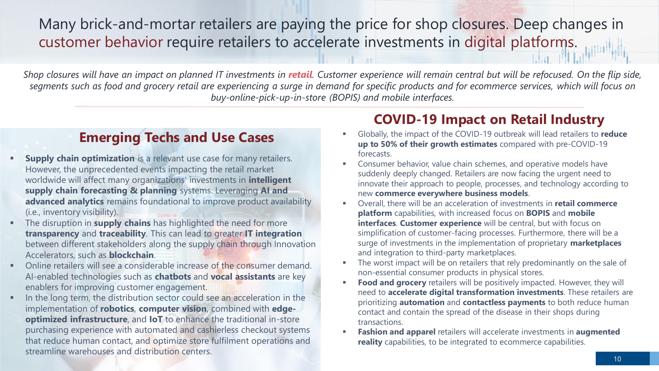Many brick-and-mortar retailers are paying the price for shop closures. Deep changes in customer behavior require retailers to accelerate investments in digital platforms.

*Shop closures will have an impact on planned IT investments in retail. Customer experience will remain central but will be refocused. On the flip side, segments such as food and grocery retail are experiencing a surge in demand for specific products and for ecommerce services, which will focus on buy-online-pick-up-in-store (BOPIS) and mobile interfaces.* 

#### **Emerging Techs and Use Cases**

- **Supply chain optimization** is a relevant use case for many retailers. However, the unprecedented events impacting the retail market worldwide will affect many organizations' investments in **intelligent supply chain forecasting & planning** systems. Leveraging **AI and advanced analytics** remains foundational to improve product availability (i.e., inventory visibility).
- The disruption in **supply chains** has highlighted the need for more **transparency** and **traceability**. This can lead to greater **IT integration**  between different stakeholders along the supply chain through Innovation Accelerators, such as **blockchain**.
- Online retailers will see a considerable increase of the consumer demand. AI-enabled technologies such as **chatbots** and **vocal assistants** are key enablers for improving customer engagement.
- In the long term, the distribution sector could see an acceleration in the implementation of **robotics**, **computer vision**, combined with **edgeoptimized infrastructure**, and **IoT** to enhance the traditional in-store purchasing experience with automated and cashierless checkout systems that reduce human contact, and optimize store fulfilment operations and streamline warehouses and distribution centers.

#### **COVID-19 Impact on Retail Industry**

- Globally, the impact of the COVID-19 outbreak will lead retailers to **reduce up to 50% of their growth estimates** compared with pre-COVID-19 forecasts.
- Consumer behavior, value chain schemes, and operative models have suddenly deeply changed. Retailers are now facing the urgent need to innovate their approach to people, processes, and technology according to new **commerce everywhere business models**.
- Overall, there will be an acceleration of investments in **retail commerce platform** capabilities, with increased focus on **BOPIS** and **mobile interfaces**. **Customer experience** will be central, but with focus on simplification of customer-facing processes. Furthermore, there will be a surge of investments in the implementation of proprietary **marketplaces** and integration to third-party marketplaces.
- The worst impact will be on retailers that rely predominantly on the sale of non-essential consumer products in physical stores.
- **Food and grocery** retailers will be positively impacted. However, they will need to **accelerate digital transformation investments**. These retailers are prioritizing **automation** and **contactless payments** to both reduce human contact and contain the spread of the disease in their shops during transactions.
- **Fashion and apparel** retailers will accelerate investments in **augmented reality** capabilities, to be integrated to ecommerce capabilities.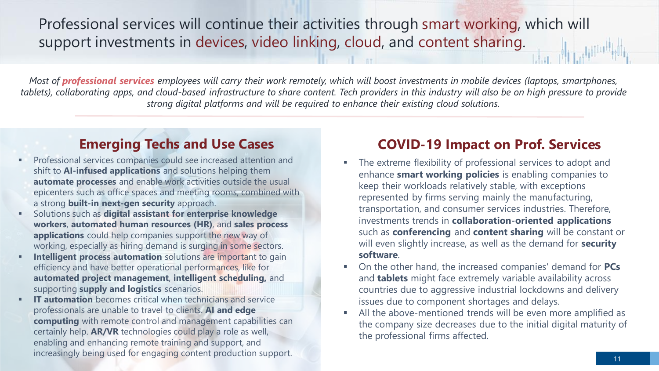Professional services will continue their activities through smart working, which will support investments in devices, video linking, cloud, and content sharing.

*Most of professional services employees will carry their work remotely, which will boost investments in mobile devices (laptops, smartphones, tablets), collaborating apps, and cloud-based infrastructure to share content. Tech providers in this industry will also be on high pressure to provide strong digital platforms and will be required to enhance their existing cloud solutions.* 

#### **Emerging Techs and Use Cases**

- Professional services companies could see increased attention and shift to **AI-infused applications** and solutions helping them **automate processes** and enable work activities outside the usual epicenters such as office spaces and meeting rooms, combined with a strong **built-in next-gen security** approach.
- Solutions such as **digital assistant for enterprise knowledge workers**, **automated human resources (HR)**, and **sales process applications** could help companies support the new way of working, especially as hiring demand is surging in some sectors.
- **Intelligent process automation** solutions are important to gain efficiency and have better operational performances, like for **automated project management**, **intelligent scheduling,** and supporting **supply and logistics** scenarios.
- **IT automation** becomes critical when technicians and service professionals are unable to travel to clients. **AI and edge computing** with remote control and management capabilities can certainly help. **AR/VR** technologies could play a role as well, enabling and enhancing remote training and support, and increasingly being used for engaging content production support.

#### **COVID-19 Impact on Prof. Services**

- The extreme flexibility of professional services to adopt and enhance **smart working policies** is enabling companies to keep their workloads relatively stable, with exceptions represented by firms serving mainly the manufacturing, transportation, and consumer services industries. Therefore, investments trends in **collaboration-oriented applications**  such as **conferencing** and **content sharing** will be constant or will even slightly increase, as well as the demand for **security software**.
- On the other hand, the increased companies' demand for **PCs** and **tablets** might face extremely variable availability across countries due to aggressive industrial lockdowns and delivery issues due to component shortages and delays.
- All the above-mentioned trends will be even more amplified as the company size decreases due to the initial digital maturity of the professional firms affected.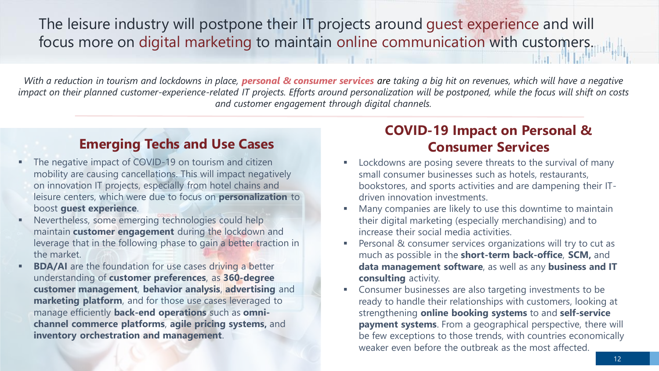The leisure industry will postpone their IT projects around guest experience and will focus more on digital marketing to maintain online communication with customers.

*With a reduction in tourism and lockdowns in place, personal & consumer services are taking a big hit on revenues, which will have a negative impact on their planned customer-experience-related IT projects. Efforts around personalization will be postponed, while the focus will shift on costs and customer engagement through digital channels.*

#### **Emerging Techs and Use Cases**

- The negative impact of COVID-19 on tourism and citizen mobility are causing cancellations. This will impact negatively on innovation IT projects, especially from hotel chains and leisure centers, which were due to focus on **personalization** to boost **guest experience**.
- Nevertheless, some emerging technologies could help maintain **customer engagement** during the lockdown and leverage that in the following phase to gain a better traction in the market.
- **BDA/AI** are the foundation for use cases driving a better understanding of **customer preferences**, as **360-degree customer management**, **behavior analysis**, **advertising** and **marketing platform**, and for those use cases leveraged to manage efficiently **back-end operations** such as **omnichannel commerce platforms**, **agile pricing systems,** and **inventory orchestration and management**.

#### **COVID-19 Impact on Personal & Consumer Services**

- Lockdowns are posing severe threats to the survival of many small consumer businesses such as hotels, restaurants, bookstores, and sports activities and are dampening their ITdriven innovation investments.
- Many companies are likely to use this downtime to maintain their digital marketing (especially merchandising) and to increase their social media activities.
- Personal & consumer services organizations will try to cut as much as possible in the **short-term back-office**, **SCM,** and **data management software**, as well as any **business and IT consulting** activity.
- Consumer businesses are also targeting investments to be ready to handle their relationships with customers, looking at strengthening **online booking systems** to and **self-service payment systems**. From a geographical perspective, there will be few exceptions to those trends, with countries economically weaker even before the outbreak as the most affected.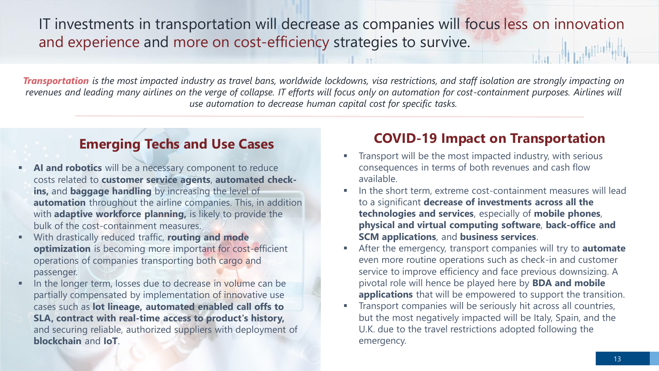#### IT investments in transportation will decrease as companies will focus less on innovation and experience and more on cost-efficiency strategies to survive.

*Transportation is the most impacted industry as travel bans, worldwide lockdowns, visa restrictions, and staff isolation are strongly impacting on revenues and leading many airlines on the verge of collapse. IT efforts will focus only on automation for cost-containment purposes. Airlines will use automation to decrease human capital cost for specific tasks.*

#### **Emerging Techs and Use Cases**

- AI and robotics will be a necessary component to reduce costs related to **customer service agents**, **automated checkins,** and **baggage handling** by increasing the level of **automation** throughout the airline companies. This, in addition with **adaptive workforce planning**, is likely to provide the bulk of the cost-containment measures.
- With drastically reduced traffic, **routing and mode optimization** is becoming more important for cost-efficient operations of companies transporting both cargo and passenger.
- In the longer term, losses due to decrease in volume can be partially compensated by implementation of innovative use cases such as **lot lineage, automated enabled call offs to SLA, contract with real-time access to product's history,**  and securing reliable, authorized suppliers with deployment of **blockchain** and **IoT**.

#### **COVID-19 Impact on Transportation**

- Transport will be the most impacted industry, with serious consequences in terms of both revenues and cash flow available.
- In the short term, extreme cost-containment measures will lead to a significant **decrease of investments across all the technologies and services**, especially of **mobile phones**, **physical and virtual computing software**, **back-office and SCM applications**, and **business services**.
- After the emergency, transport companies will try to **automate** even more routine operations such as check-in and customer service to improve efficiency and face previous downsizing. A pivotal role will hence be played here by **BDA and mobile applications** that will be empowered to support the transition.
- Transport companies will be seriously hit across all countries, but the most negatively impacted will be Italy, Spain, and the U.K. due to the travel restrictions adopted following the emergency.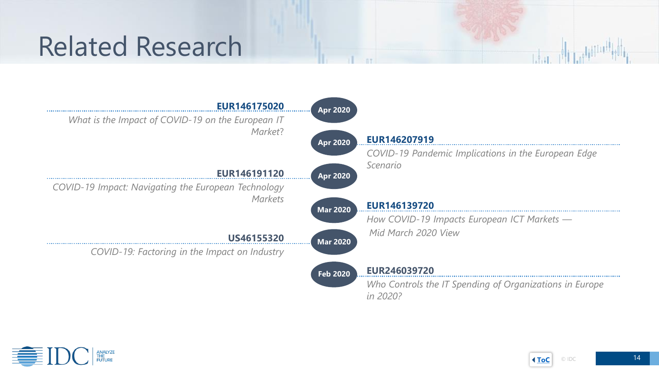# Related Research